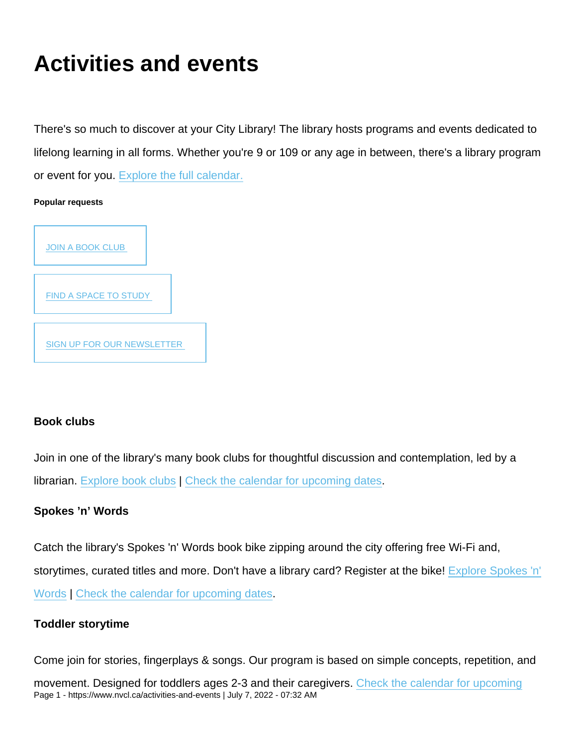# Activities and events

There's so much to discover at your City Library! The library hosts programs and events dedicated to lifelong learning in all forms. Whether you're 9 or 109 or any age in between, there's a library program or event for you. [Explore the full calendar.](https://www.nvcl.ca/calendar)

Popular requests



# Book clubs

Join in one of the library's many book clubs for thoughtful discussion and contemplation, led by a librarian. [Explore book clubs](https://www.nvcl.ca/book-clubs) | [Check the calendar for upcoming dates](https://www.nvcl.ca/calendar?date=&title=&date__after=&date__before=&event_type[39]=39&virtual=All&open=All).

# Spokes 'n' Words

Catch the library's Spokes 'n' Words book bike zipping around the city offering free Wi-Fi and, storytimes, curated titles and more. Don't have a library card? Register at the bike! [Explore Spokes 'n'](https://www.nvcl.ca/spokes-n-words-book-bike) [Words](https://www.nvcl.ca/spokes-n-words-book-bike) | [Check the calendar for upcoming dates](https://www.nvcl.ca/calendar?date=&title=&date__after=&date__before=&event_type[49]=49&virtual=All&open=All).

# Toddler storytime

Come join for stories, fingerplays & songs. Our program is based on simple concepts, repetition, and

movement. Designed for toddlers ages 2-3 and their caregivers. [Check the calendar for upcoming](https://www.nvcl.cacalendar?title=toddler+storytime&date__after=&date__before=&date=&virtual=All&open=All) Page 1 - https://www.nvcl.ca/activities-and-events | July 7, 2022 - 07:32 AM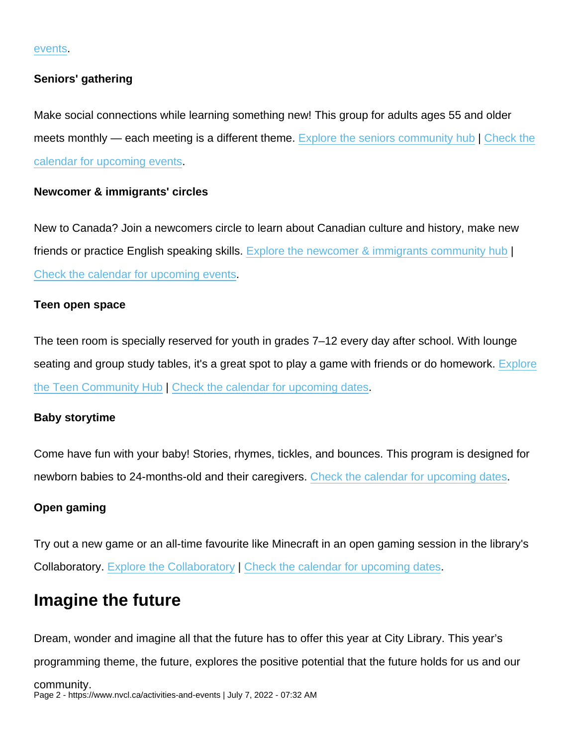#### [events](https://www.nvcl.cacalendar?title=toddler+storytime&date__after=&date__before=&date=&virtual=All&open=All).

#### Seniors' gathering

Make social connections while learning something new! This group for adults ages 55 and older meets monthly — each meeting is a different theme. [Explore the seniors community hub](https://www.nvcl.ca/seniors-community-hub) | [Check the](https://www.nvcl.ca/calendar?date=&title=&date__after=&date__before=&event_type[73]=73&event_type[74]=74&event_type[53]=53&event_type[54]=54&virtual=All&open=All) [calendar for upcoming events](https://www.nvcl.ca/calendar?date=&title=&date__after=&date__before=&event_type[73]=73&event_type[74]=74&event_type[53]=53&event_type[54]=54&virtual=All&open=All).

Newcomer & immigrants' circles

New to Canada? Join a newcomers circle to learn about Canadian culture and history, make new friends or practice English speaking skills. [Explore the newcomer & immigrants community hub](https://www.nvcl.ca/newcomers-immigrants-community-hub) | [Check the calendar for upcoming events.](https://nvcl.ca/calendar?title=&date__after=&date__before=&event_type[52]=52&date=&virtual=All&open=All)

#### Teen open space

The teen room is specially reserved for youth in grades 7–12 every day after school. With lounge seating and group study tables, it's a great spot to play a game with friends or do homework. [Explore](https://www.nvcl.ca/teens-community-hub) [the Teen Community Hub](https://www.nvcl.ca/teens-community-hub) | [Check the calendar for upcoming dates](https://www.nvcl.ca/calendar?date=&title=&date__after=&date__before=&event_type[58]=58&event_type[57]=57&virtual=All&open=All).

#### Baby storytime

Come have fun with your baby! Stories, rhymes, tickles, and bounces. This program is designed for newborn babies to 24-months-old and their caregivers. [Check the calendar for upcoming dates](https://www.nvcl.ca/calendar?title=baby+storytime&date__after=&date__before=&date=&virtual=All&open=All).

#### Open gaming

Try out a new game or an all-time favourite like Minecraft in an open gaming session in the library's Collaboratory. [Explore the Collaboratory](https://www.nvcl.ca/collaboratory) | [Check the calendar for upcoming dates.](https://www.nvcl.ca/calendar?date=&title=&date__after=&date__before=&event_type[58]=58&virtual=All&open=All)

# Imagine the future

Dream, wonder and imagine all that the future has to offer this year at City Library. This year's programming theme, the future, explores the positive potential that the future holds for us and our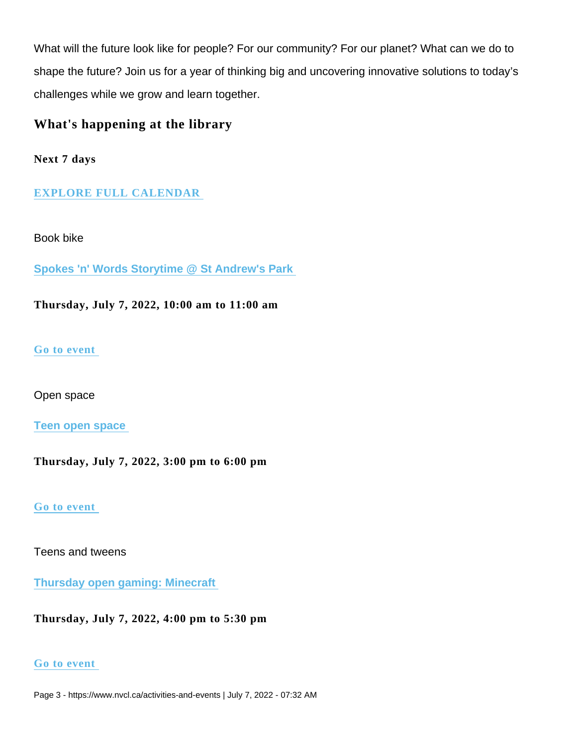What will the future look like for people? For our community? For our planet? What can we do to shape the future? Join us for a year of thinking big and uncovering innovative solutions to today's challenges while we grow and learn together.

What's happening at the library

Next 7 days

# EXPLORE FULL CALENDAR

Book bike

[Spokes 'n' Words Storytime @ St Andrew's Park](https://www.nvcl.ca/events/spokes-n-words-storytime-st-andrews-park) 

Thursday, July 7, 2022, 10:00 am to 11:00 am

# [Go to event](https://www.nvcl.ca/events/spokes-n-words-storytime-st-andrews-park)

Open space

[Teen open space](https://www.nvcl.ca/events/teen-open-space-4) 

Thursday, July 7, 2022, 3:00 pm to 6:00 pm

[Go to event](https://www.nvcl.ca/events/teen-open-space-4) 

Teens and tweens

[Thursday open gaming: Minecraft](https://www.nvcl.ca/events/thursday-open-gaming-minecraft) 

Thursday, July 7, 2022, 4:00 pm to 5:30 pm

# [Go to event](https://www.nvcl.ca/events/thursday-open-gaming-minecraft)

Page 3 - https://www.nvcl.ca/activities-and-events | July 7, 2022 - 07:32 AM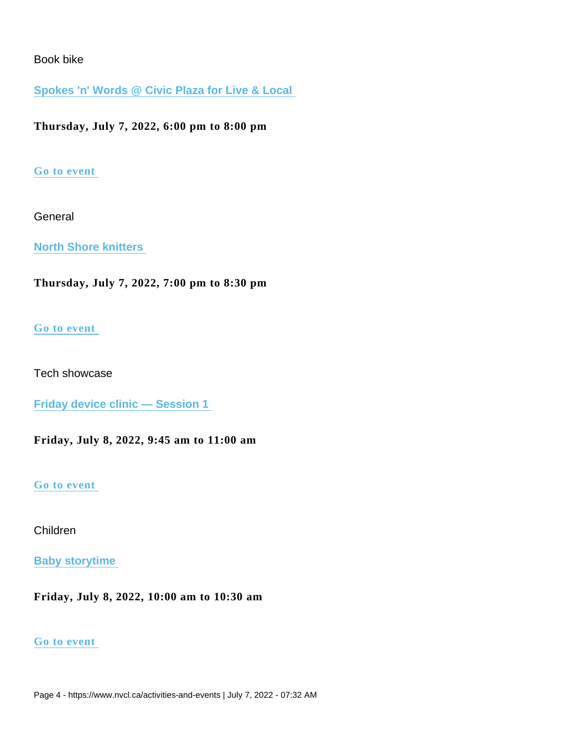# Book bike

[Spokes 'n' Words @ Civic Plaza for Live & Local](https://www.nvcl.ca/events/spokes-n-words-civic-plaza-live-local-0) 

Thursday, July 7, 2022, 6:00 pm to 8:00 pm

## [Go to event](https://www.nvcl.ca/events/spokes-n-words-civic-plaza-live-local-0)

**General** 

[North Shore knitters](https://www.nvcl.ca/events/north-shore-knitters-3) 

Thursday, July 7, 2022, 7:00 pm to 8:30 pm

## [Go to event](https://www.nvcl.ca/events/north-shore-knitters-3)

Tech showcase

[Friday device clinic — Session 1](https://www.nvcl.ca/events/1208) 

Friday, July 8, 2022, 9:45 am to 11:00 am

#### [Go to event](https://www.nvcl.ca/events/1208)

# Children

[Baby storytime](https://www.nvcl.ca/events/baby-storytime-27) 

Friday, July 8, 2022, 10:00 am to 10:30 am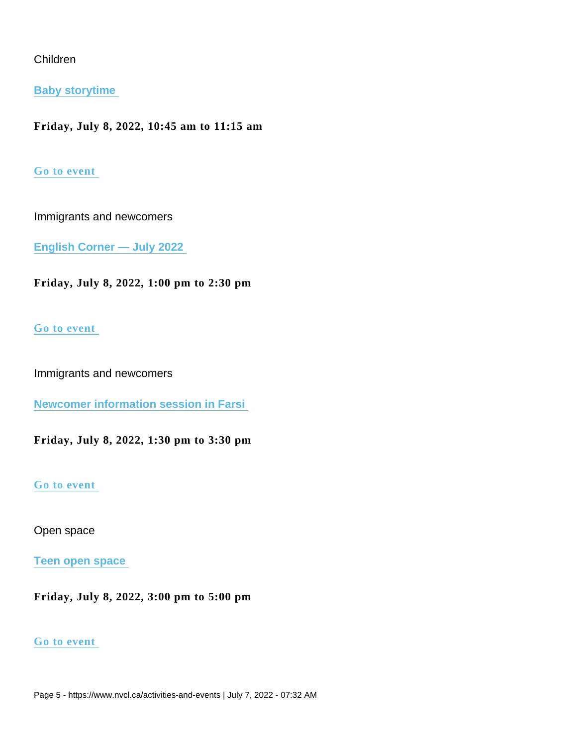# Children

[Baby storytime](https://www.nvcl.ca/events/baby-storytime-11) 

Friday, July 8, 2022, 10:45 am to 11:15 am

#### [Go to event](https://www.nvcl.ca/events/baby-storytime-11)

Immigrants and newcomers

[English Corner — July 2022](https://www.nvcl.ca/events/english-corner-july-2022) 

Friday, July 8, 2022, 1:00 pm to 2:30 pm

## [Go to event](https://www.nvcl.ca/events/english-corner-july-2022)

Immigrants and newcomers

[Newcomer information session in Farsi](https://www.nvcl.ca/events/newcomer-information-session-farsi) 

Friday, July 8, 2022, 1:30 pm to 3:30 pm

#### [Go to event](https://www.nvcl.ca/events/newcomer-information-session-farsi)

Open space

[Teen open space](https://www.nvcl.ca/events/teen-open-space) 

Friday, July 8, 2022, 3:00 pm to 5:00 pm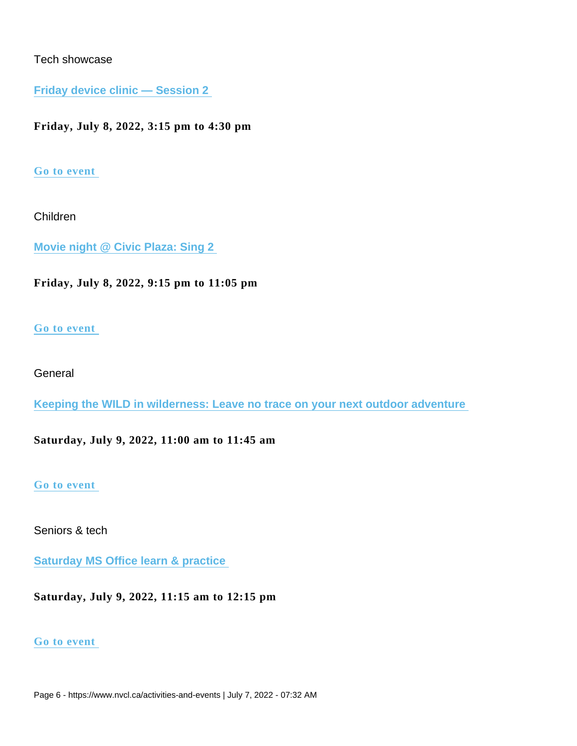# Tech showcase

[Friday device clinic — Session 2](https://www.nvcl.ca/events/friday-device-clinic-session-2) 

Friday, July 8, 2022, 3:15 pm to 4:30 pm

# [Go to event](https://www.nvcl.ca/events/friday-device-clinic-session-2)

Children

[Movie night @ Civic Plaza: Sing 2](https://www.nvcl.ca/events/movie-night-civic-plaza-sing-2) 

Friday, July 8, 2022, 9:15 pm to 11:05 pm

## [Go to event](https://www.nvcl.ca/events/movie-night-civic-plaza-sing-2)

# **General**

[Keeping the WILD in wilderness: Leave no trace on your next outdoor adventure](https://www.nvcl.ca/events/keeping-wild-wilderness-leave-no-trace-your-next-outdoor-adventure) 

Saturday, July 9, 2022, 11:00 am to 11:45 am

#### [Go to event](https://www.nvcl.ca/events/keeping-wild-wilderness-leave-no-trace-your-next-outdoor-adventure)

Seniors & tech

[Saturday MS Office learn & practice](https://www.nvcl.ca/events/saturday-ms-office-learn-practice-2) 

Saturday, July 9, 2022, 11:15 am to 12:15 pm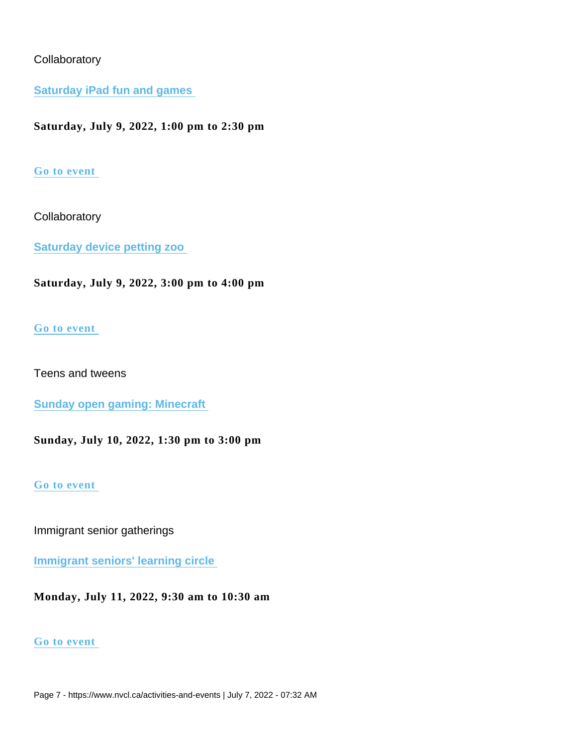# **Collaboratory**

[Saturday iPad fun and games](https://www.nvcl.ca/events/saturday-ipad-fun-and-games-2) 

Saturday, July 9, 2022, 1:00 pm to 2:30 pm

# [Go to event](https://www.nvcl.ca/events/saturday-ipad-fun-and-games-2)

**Collaboratory** 

[Saturday device petting zoo](https://www.nvcl.ca/events/saturday-device-petting-zoo-2) 

Saturday, July 9, 2022, 3:00 pm to 4:00 pm

## [Go to event](https://www.nvcl.ca/events/saturday-device-petting-zoo-2)

Teens and tweens

[Sunday open gaming: Minecraft](https://www.nvcl.ca/events/sunday-open-gaming-minecraft-0) 

Sunday, July 10, 2022, 1:30 pm to 3:00 pm

#### [Go to event](https://www.nvcl.ca/events/sunday-open-gaming-minecraft-0)

Immigrant senior gatherings

[Immigrant seniors' learning circle](https://www.nvcl.ca/events/immigrant-seniors-learning-circle-11) 

Monday, July 11, 2022, 9:30 am to 10:30 am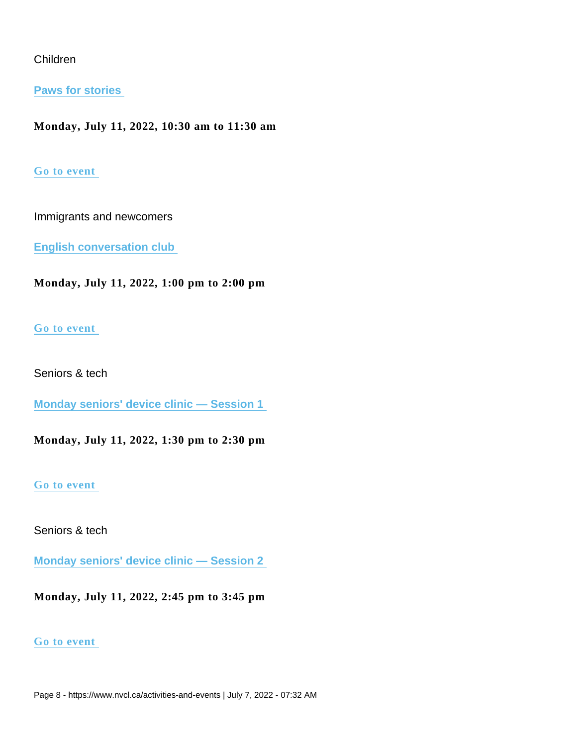# Children

[Paws for stories](https://www.nvcl.ca/events/paws-stories-0) 

Monday, July 11, 2022, 10:30 am to 11:30 am

#### [Go to event](https://www.nvcl.ca/events/paws-stories-0)

Immigrants and newcomers

[English conversation club](https://www.nvcl.ca/events/english-conversation-club-6) 

Monday, July 11, 2022, 1:00 pm to 2:00 pm

#### [Go to event](https://www.nvcl.ca/events/english-conversation-club-6)

Seniors & tech

[Monday seniors' device clinic — Session 1](https://www.nvcl.ca/events/monday-seniors-device-clinic-session-1-12) 

Monday, July 11, 2022, 1:30 pm to 2:30 pm

#### [Go to event](https://www.nvcl.ca/events/monday-seniors-device-clinic-session-1-12)

Seniors & tech

[Monday seniors' device clinic — Session 2](https://www.nvcl.ca/events/monday-seniors-device-clinic-session-2-12) 

Monday, July 11, 2022, 2:45 pm to 3:45 pm

#### [Go to event](https://www.nvcl.ca/events/monday-seniors-device-clinic-session-2-12)

Page 8 - https://www.nvcl.ca/activities-and-events | July 7, 2022 - 07:32 AM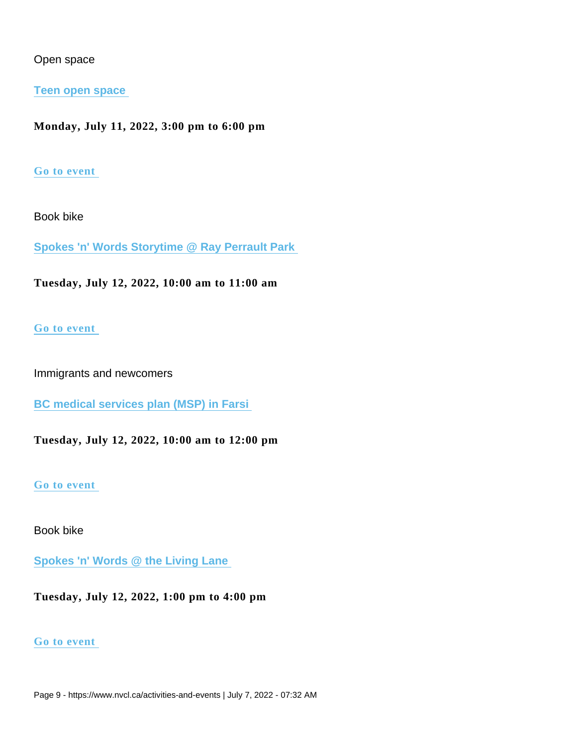# Open space

#### [Teen open space](https://www.nvcl.ca/events/teen-open-space-5)

Monday, July 11, 2022, 3:00 pm to 6:00 pm

#### [Go to event](https://www.nvcl.ca/events/teen-open-space-5)

Book bike

[Spokes 'n' Words Storytime @ Ray Perrault Park](https://www.nvcl.ca/events/spokes-n-words-storytime-ray-perrault-park-0) 

Tuesday, July 12, 2022, 10:00 am to 11:00 am

#### [Go to event](https://www.nvcl.ca/events/spokes-n-words-storytime-ray-perrault-park-0)

Immigrants and newcomers

[BC medical services plan \(MSP\) in Farsi](https://www.nvcl.ca/events/1477) 

Tuesday, July 12, 2022, 10:00 am to 12:00 pm

#### [Go to event](https://www.nvcl.ca/events/1477)

Book bike

[Spokes 'n' Words @ the Living Lane](https://www.nvcl.ca/events/spokes-n-words-living-lane) 

Tuesday, July 12, 2022, 1:00 pm to 4:00 pm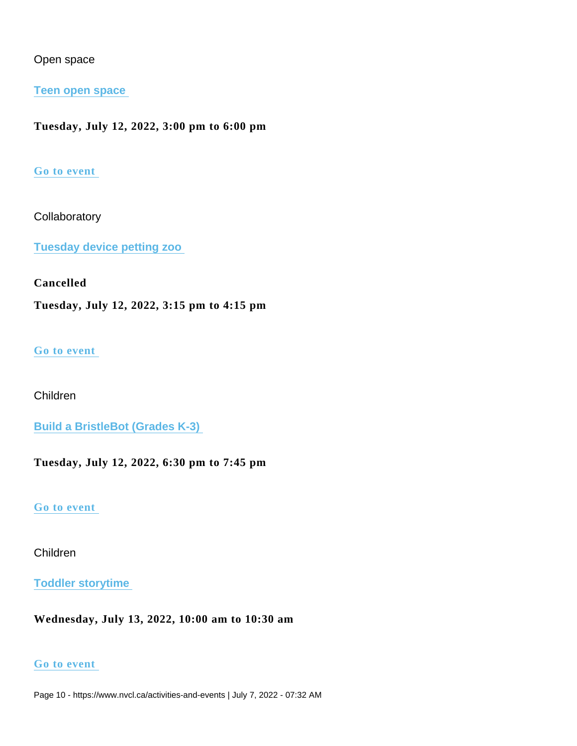# Open space

## [Teen open space](https://www.nvcl.ca/events/teen-open-space-6)

Tuesday, July 12, 2022, 3:00 pm to 6:00 pm

## [Go to event](https://www.nvcl.ca/events/teen-open-space-6)

## **Collaboratory**

[Tuesday device petting zoo](https://www.nvcl.ca/events/tuesday-device-petting-zoo-9) 

# Cancelled

Tuesday, July 12, 2022, 3:15 pm to 4:15 pm

## [Go to event](https://www.nvcl.ca/events/tuesday-device-petting-zoo-9)

# Children

[Build a BristleBot \(Grades K-3\)](https://www.nvcl.ca/events/build-bristlebot-grades-k-3) 

Tuesday, July 12, 2022, 6:30 pm to 7:45 pm

#### [Go to event](https://www.nvcl.ca/events/build-bristlebot-grades-k-3)

# Children

# [Toddler storytime](https://www.nvcl.ca/events/toddler-storytime-14)

Wednesday, July 13, 2022, 10:00 am to 10:30 am

#### [Go to event](https://www.nvcl.ca/events/toddler-storytime-14)

Page 10 - https://www.nvcl.ca/activities-and-events | July 7, 2022 - 07:32 AM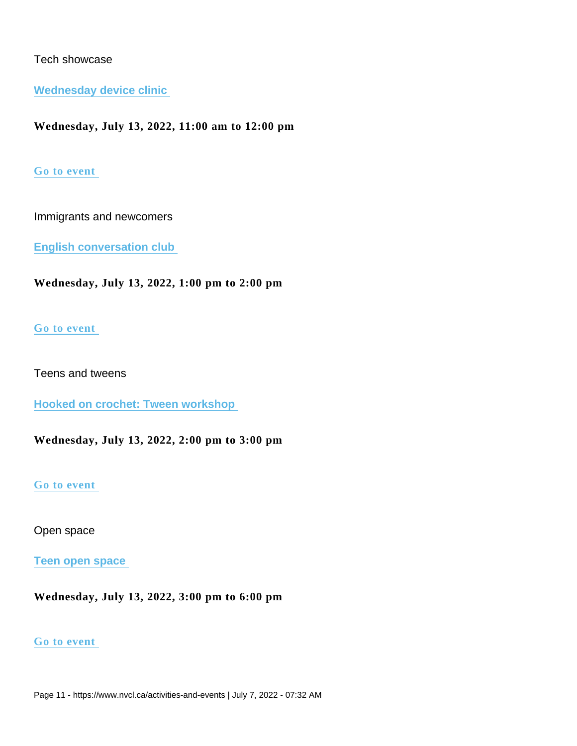# Tech showcase

Wednesday device clinic

Wednesday, July 13, 2022, 11:00 am to 12:00 pm

# [Go to event](https://www.nvcl.ca/events/wednesday-device-clinic-10)

Immigrants and newcomers

[English conversation club](https://www.nvcl.ca/events/english-conversation-club-9) 

Wednesday, July 13, 2022, 1:00 pm to 2:00 pm

## [Go to event](https://www.nvcl.ca/events/english-conversation-club-9)

Teens and tweens

[Hooked on crochet: Tween workshop](https://www.nvcl.ca/events/hooked-crochet-tween-workshop) 

Wednesday, July 13, 2022, 2:00 pm to 3:00 pm

#### [Go to event](https://www.nvcl.ca/events/hooked-crochet-tween-workshop)

Open space

[Teen open space](https://www.nvcl.ca/events/teen-open-space-7) 

Wednesday, July 13, 2022, 3:00 pm to 6:00 pm